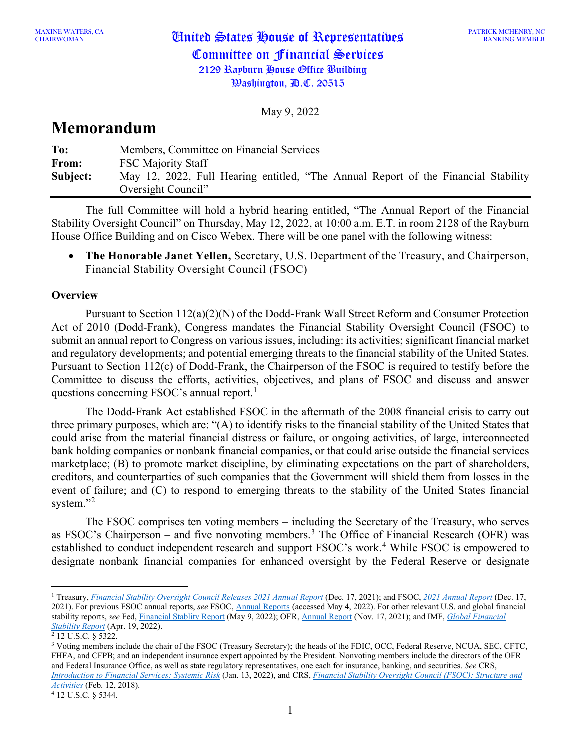May 9, 2022

# **Memorandum**

| To:      | Members, Committee on Financial Services                                           |
|----------|------------------------------------------------------------------------------------|
| From:    | <b>FSC Majority Staff</b>                                                          |
| Subject: | May 12, 2022, Full Hearing entitled, "The Annual Report of the Financial Stability |
|          | Oversight Council"                                                                 |

The full Committee will hold a hybrid hearing entitled, "The Annual Report of the Financial Stability Oversight Council" on Thursday, May 12, 2022, at 10:00 a.m. E.T. in room 2128 of the Rayburn House Office Building and on Cisco Webex. There will be one panel with the following witness:

• **The Honorable Janet Yellen,** Secretary, U.S. Department of the Treasury, and Chairperson, Financial Stability Oversight Council (FSOC)

### **Overview**

Pursuant to Section 112(a)(2)(N) of the Dodd-Frank Wall Street Reform and Consumer Protection Act of 2010 (Dodd-Frank), Congress mandates the Financial Stability Oversight Council (FSOC) to submit an annual report to Congress on various issues, including: its activities; significant financial market and regulatory developments; and potential emerging threats to the financial stability of the United States. Pursuant to Section 112(c) of Dodd-Frank, the Chairperson of the FSOC is required to testify before the Committee to discuss the efforts, activities, objectives, and plans of FSOC and discuss and answer questions concerning FSOC's annual report.<sup>[1](#page-0-0)</sup>

The Dodd-Frank Act established FSOC in the aftermath of the 2008 financial crisis to carry out three primary purposes, which are: "(A) to identify risks to the financial stability of the United States that could arise from the material financial distress or failure, or ongoing activities, of large, interconnected bank holding companies or nonbank financial companies, or that could arise outside the financial services marketplace; (B) to promote market discipline, by eliminating expectations on the part of shareholders, creditors, and counterparties of such companies that the Government will shield them from losses in the event of failure; and (C) to respond to emerging threats to the stability of the United States financial system."<sup>[2](#page-0-1)</sup>

The FSOC comprises ten voting members – including the Secretary of the Treasury, who serves as FSOC's Chairperson – and five nonvoting members.<sup>[3](#page-0-2)</sup> The Office of Financial Research (OFR) was established to conduct independent research and support FSOC's work.<sup>[4](#page-0-3)</sup> While FSOC is empowered to designate nonbank financial companies for enhanced oversight by the Federal Reserve or designate

<span id="page-0-0"></span><sup>1</sup> Treasury, *[Financial Stability Oversight Council Releases 2021 Annual Report](https://home.treasury.gov/news/press-releases/jy0541)* (Dec. 17, 2021); and FSOC, *[2021 Annual Report](https://home.treasury.gov/system/files/261/FSOC2021AnnualReport.pdf)* (Dec. 17, 2021). For previous FSOC annual reports, *see* FSOC[, Annual Reports](https://home.treasury.gov/policy-issues/financial-markets-financial-institutions-and-fiscal-service/fsoc/studies-and-reports/annual-reports) (accessed May 4, 2022). For other relevant U.S. and global financial stability reports, *see* Fed[, Financial Stablity Report](https://www.federalreserve.gov/publications/financial-stability-report.htm) (May 9, 2022); OFR[, Annual Report](https://www.financialresearch.gov/annual-reports/) (Nov. 17, 2021); and IMF, *[Global Financial](https://www.imf.org/en/Publications/GFSR)  [Stability Report](https://www.imf.org/en/Publications/GFSR)* (Apr. 19, 2022).

<span id="page-0-1"></span><sup>2</sup> 12 U.S.C. § 5322.

<span id="page-0-2"></span><sup>3</sup> Voting members include the chair of the FSOC (Treasury Secretary); the heads of the FDIC, OCC, Federal Reserve, NCUA, SEC, CFTC, FHFA, and CFPB; and an independent insurance expert appointed by the President. Nonvoting members include the directors of the OFR and Federal Insurance Office, as well as state regulatory representatives, one each for insurance, banking, and securities. *See* CRS, *[Introduction to Financial Services: Systemic Risk](http://www.crs.gov/Reports/IF10700)* (Jan. 13, 2022), and CRS, *[Financial Stability Oversight Council \(FSOC\): Structure and](http://www.crs.gov/Reports/R45052)  [Activities](http://www.crs.gov/Reports/R45052)* (Feb. 12, 2018).

<span id="page-0-3"></span> $4$  12 U.S.C. § 5344.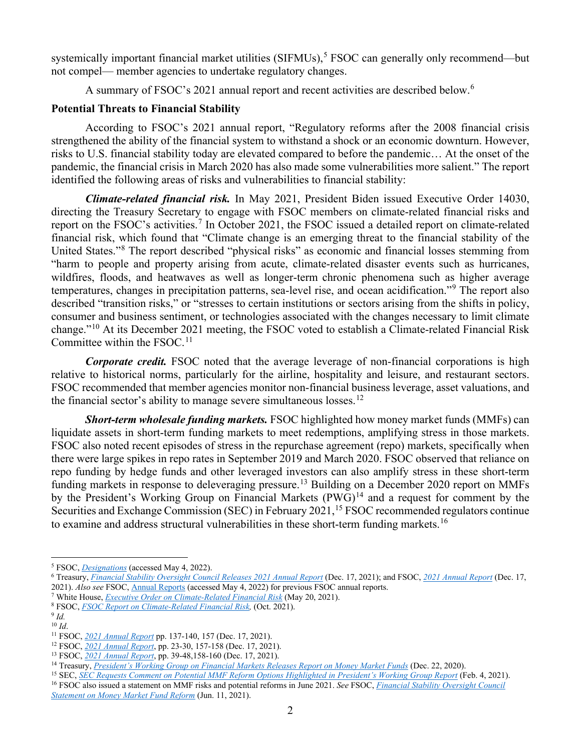systemically important financial market utilities (SIFMUs),<sup>[5](#page-1-0)</sup> FSOC can generally only recommend—but not compel— member agencies to undertake regulatory changes.

A summary of FSOC's 2021 annual report and recent activities are described below.[6](#page-1-1)

#### **Potential Threats to Financial Stability**

According to FSOC's 2021 annual report, "Regulatory reforms after the 2008 financial crisis strengthened the ability of the financial system to withstand a shock or an economic downturn. However, risks to U.S. financial stability today are elevated compared to before the pandemic… At the onset of the pandemic, the financial crisis in March 2020 has also made some vulnerabilities more salient." The report identified the following areas of risks and vulnerabilities to financial stability:

*Climate-related financial risk.* In May 2021, President Biden issued Executive Order 14030, directing the Treasury Secretary to engage with FSOC members on climate-related financial risks and report on the FSOC's activities.<sup>[7](#page-1-2)</sup> In October 2021, the FSOC issued a detailed report on climate-related financial risk, which found that "Climate change is an emerging threat to the financial stability of the United States."[8](#page-1-3) The report described "physical risks" as economic and financial losses stemming from "harm to people and property arising from acute, climate-related disaster events such as hurricanes, wildfires, floods, and heatwaves as well as longer-term chronic phenomena such as higher average temperatures, changes in precipitation patterns, sea-level rise, and ocean acidification."[9](#page-1-4) The report also described "transition risks," or "stresses to certain institutions or sectors arising from the shifts in policy, consumer and business sentiment, or technologies associated with the changes necessary to limit climate change."[10](#page-1-5) At its December 2021 meeting, the FSOC voted to establish a Climate-related Financial Risk Committee within the  $FSOC<sup>11</sup>$  $FSOC<sup>11</sup>$  $FSOC<sup>11</sup>$ .

*Corporate credit.* FSOC noted that the average leverage of non-financial corporations is high relative to historical norms, particularly for the airline, hospitality and leisure, and restaurant sectors. FSOC recommended that member agencies monitor non-financial business leverage, asset valuations, and the financial sector's ability to manage severe simultaneous losses.<sup>[12](#page-1-7)</sup>

*Short-term wholesale funding markets.* FSOC highlighted how money market funds (MMFs) can liquidate assets in short-term funding markets to meet redemptions, amplifying stress in those markets. FSOC also noted recent episodes of stress in the repurchase agreement (repo) markets, specifically when there were large spikes in repo rates in September 2019 and March 2020. FSOC observed that reliance on repo funding by hedge funds and other leveraged investors can also amplify stress in these short-term funding markets in response to deleveraging pressure.<sup>[13](#page-1-8)</sup> Building on a December 2020 report on MMFs by the President's Working Group on Financial Markets  $(PWG)^{14}$  $(PWG)^{14}$  $(PWG)^{14}$  and a request for comment by the Securities and Exchange Commission (SEC) in February 2021,<sup>[15](#page-1-10)</sup> FSOC recommended regulators continue to examine and address structural vulnerabilities in these short-term funding markets.<sup>[16](#page-1-11)</sup>

<span id="page-1-0"></span><sup>5</sup> FSOC, *[Designations](https://www.treasury.gov/initiatives/fsoc/designations/Pages/default.aspx)* (accessed May 4, 2022).

<span id="page-1-1"></span><sup>6</sup> Treasury, *[Financial Stability Oversight Council Releases 2021 Annual Report](https://home.treasury.gov/news/press-releases/jy0541)* (Dec. 17, 2021); and FSOC, *[2021 Annual Report](https://home.treasury.gov/system/files/261/FSOC2021AnnualReport.pdf)* (Dec. 17, 2021). *Also see* FSOC[, Annual Reports](https://home.treasury.gov/policy-issues/financial-markets-financial-institutions-and-fiscal-service/fsoc/studies-and-reports/annual-reports) (accessed May 4, 2022) for previous FSOC annual reports.

<span id="page-1-2"></span><sup>7</sup> White House, *[Executive Order on Climate-Related Financial Risk](https://www.whitehouse.gov/briefing-room/presidential-actions/2021/05/20/executive-order-on-climate-related-financial-risk/)* (May 20, 2021).

<span id="page-1-3"></span><sup>8</sup> FSOC, *[FSOC Report on Climate-Related Financial Risk,](https://home.treasury.gov/system/files/261/FSOC-Climate-Report.pdf)* (Oct. 2021).

<span id="page-1-4"></span> $9$  *Id.* 

<span id="page-1-6"></span><span id="page-1-5"></span><sup>10</sup> *Id*.

<sup>11</sup> FSOC, *[2021 Annual Report](https://home.treasury.gov/system/files/261/FSOC2021AnnualReport.pdf)* pp. 137-140, 157 (Dec. 17, 2021).

<span id="page-1-7"></span><sup>12</sup> FSOC, *[2021 Annual Report](https://home.treasury.gov/system/files/261/FSOC2021AnnualReport.pdf)*, pp. 23-30, 157-158 (Dec. 17, 2021).

<span id="page-1-8"></span><sup>13</sup> FSOC, *[2021 Annual Report](https://home.treasury.gov/system/files/261/FSOC2021AnnualReport.pdf)*, pp. 39-48,158-160 (Dec. 17, 2021).

<span id="page-1-9"></span><sup>14</sup> Treasury, *[President's Working Group on Financial Markets Releases Report on Money Market Funds](https://home.treasury.gov/news/press-releases/sm1219)* (Dec. 22, 2020).

<span id="page-1-10"></span><sup>15</sup> SEC, *SEC Requests Comment on Potential MMF [Reform Options Highlighted in President's Working Group Report](https://www.sec.gov/news/press-release/2021-25)* (Feb. 4, 2021).

<span id="page-1-11"></span><sup>16</sup> FSOC also issued a statement on MMF risks and potential reforms in June 2021. *See* FSOC, *[Financial Stability Oversight Council](https://home.treasury.gov/system/files/261/FSOC_Statement_6-11-21.pdf)  [Statement on Money Market Fund Reform](https://home.treasury.gov/system/files/261/FSOC_Statement_6-11-21.pdf)* (Jun. 11, 2021).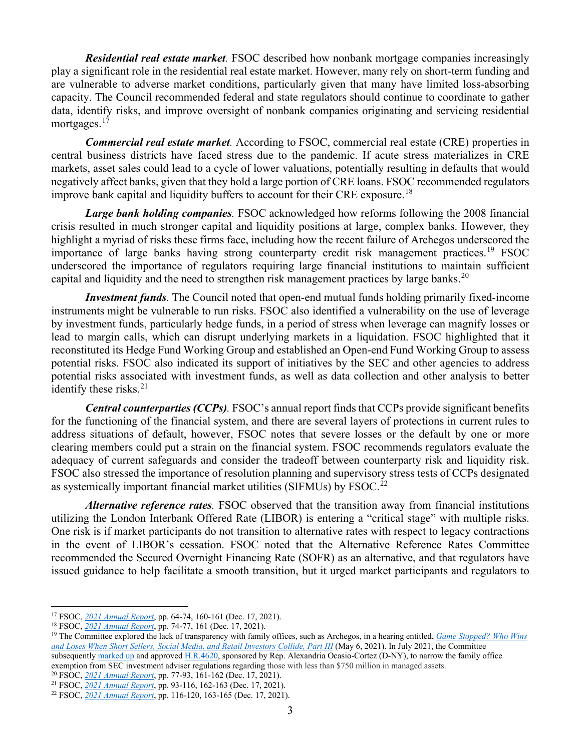*Residential real estate market.* FSOC described how nonbank mortgage companies increasingly play a significant role in the residential real estate market. However, many rely on short-term funding and are vulnerable to adverse market conditions, particularly given that many have limited loss-absorbing capacity. The Council recommended federal and state regulators should continue to coordinate to gather data, identify risks, and improve oversight of nonbank companies originating and servicing residential mortgages.<sup>[17](#page-2-0)</sup>

*Commercial real estate market.* According to FSOC, commercial real estate (CRE) properties in central business districts have faced stress due to the pandemic. If acute stress materializes in CRE markets, asset sales could lead to a cycle of lower valuations, potentially resulting in defaults that would negatively affect banks, given that they hold a large portion of CRE loans. FSOC recommended regulators improve bank capital and liquidity buffers to account for their CRE exposure.<sup>[18](#page-2-1)</sup>

*Large bank holding companies.* FSOC acknowledged how reforms following the 2008 financial crisis resulted in much stronger capital and liquidity positions at large, complex banks. However, they highlight a myriad of risks these firms face, including how the recent failure of Archegos underscored the importance of large banks having strong counterparty credit risk management practices.<sup>[19](#page-2-2)</sup> FSOC underscored the importance of regulators requiring large financial institutions to maintain sufficient capital and liquidity and the need to strengthen risk management practices by large banks.<sup>[20](#page-2-3)</sup>

*Investment funds.* The Council noted that open-end mutual funds holding primarily fixed-income instruments might be vulnerable to run risks. FSOC also identified a vulnerability on the use of leverage by investment funds, particularly hedge funds, in a period of stress when leverage can magnify losses or lead to margin calls, which can disrupt underlying markets in a liquidation. FSOC highlighted that it reconstituted its Hedge Fund Working Group and established an Open-end Fund Working Group to assess potential risks. FSOC also indicated its support of initiatives by the SEC and other agencies to address potential risks associated with investment funds, as well as data collection and other analysis to better identify these risks. $2<sup>1</sup>$ 

*Central counterparties (CCPs).* FSOC's annual report finds that CCPs provide significant benefits for the functioning of the financial system, and there are several layers of protections in current rules to address situations of default, however, FSOC notes that severe losses or the default by one or more clearing members could put a strain on the financial system. FSOC recommends regulators evaluate the adequacy of current safeguards and consider the tradeoff between counterparty risk and liquidity risk. FSOC also stressed the importance of resolution planning and supervisory stress tests of CCPs designated as systemically important financial market utilities (SIFMUs) by  $FSOC<sup>22</sup>$  $FSOC<sup>22</sup>$  $FSOC<sup>22</sup>$ 

*Alternative reference rates.* FSOC observed that the transition away from financial institutions utilizing the London Interbank Offered Rate (LIBOR) is entering a "critical stage" with multiple risks. One risk is if market participants do not transition to alternative rates with respect to legacy contractions in the event of LIBOR's cessation. FSOC noted that the Alternative Reference Rates Committee recommended the Secured Overnight Financing Rate (SOFR) as an alternative, and that regulators have issued guidance to help facilitate a smooth transition, but it urged market participants and regulators to

<sup>20</sup> FSOC, *[2021 Annual Report](https://home.treasury.gov/system/files/261/FSOC2021AnnualReport.pdf)*, pp. 77-93, 161-162 (Dec. 17, 2021).

<span id="page-2-0"></span><sup>17</sup> FSOC, *[2021 Annual Report](https://home.treasury.gov/system/files/261/FSOC2021AnnualReport.pdf)*, pp. 64-74, 160-161 (Dec. 17, 2021).

<span id="page-2-1"></span><sup>18</sup> FSOC, *[2021 Annual Report](https://home.treasury.gov/system/files/261/FSOC2021AnnualReport.pdf)*, pp. 74-77, 161 (Dec. 17, 2021).

<span id="page-2-2"></span><sup>19</sup> The Committee explored the lack of transparency with family offices, such as Archegos, in a hearing entitled, *[Game Stopped? Who Wins](https://financialservices.house.gov/events/eventsingle.aspx?EventID=407748)  [and Loses When Short Sellers, Social Media, and Retail Investors Collide, Part III](https://financialservices.house.gov/events/eventsingle.aspx?EventID=407748)* (May 6, 2021). In July 2021, the Committee subsequentl[y marked up](https://financialservices.house.gov/events/eventsingle.aspx?EventID=408113) and approve[d H.R.4620,](https://www.congress.gov/bill/117th-congress/house-bill/4620) sponsored by Rep. Alexandria Ocasio-Cortez (D-NY), to narrow the family office exemption from SEC investment adviser regulations regarding those with less than \$750 million in managed assets.

<span id="page-2-4"></span><span id="page-2-3"></span><sup>21</sup> FSOC, *[2021 Annual Report](https://home.treasury.gov/system/files/261/FSOC2021AnnualReport.pdf)*, pp. 93-116, 162-163 (Dec. 17, 2021).

<span id="page-2-5"></span><sup>22</sup> FSOC, *[2021 Annual Report](https://home.treasury.gov/system/files/261/FSOC2021AnnualReport.pdf)*, pp. 116-120, 163-165 (Dec. 17, 2021).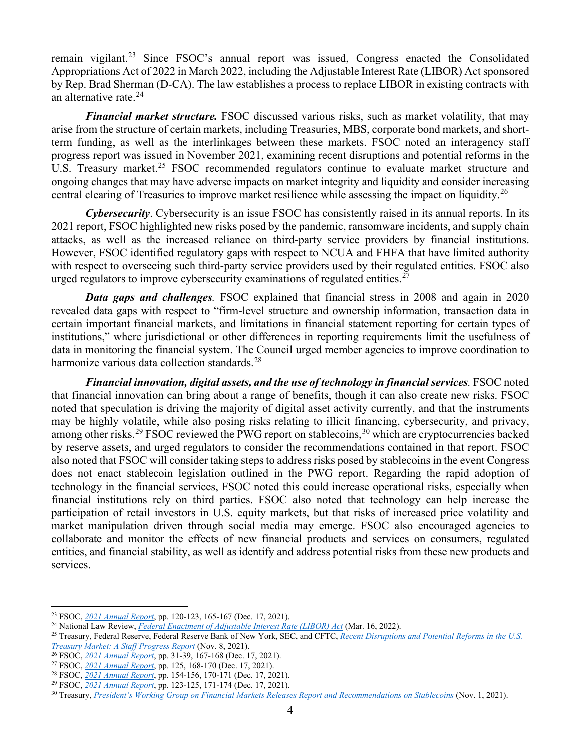remain vigilant.[23](#page-3-0) Since FSOC's annual report was issued, Congress enacted the Consolidated Appropriations Act of 2022 in March 2022, including the Adjustable Interest Rate (LIBOR) Act sponsored by Rep. Brad Sherman (D-CA). The law establishes a process to replace LIBOR in existing contracts with an alternative rate.<sup>[24](#page-3-1)</sup>

*Financial market structure.* FSOC discussed various risks, such as market volatility, that may arise from the structure of certain markets, including Treasuries, MBS, corporate bond markets, and shortterm funding, as well as the interlinkages between these markets. FSOC noted an interagency staff progress report was issued in November 2021, examining recent disruptions and potential reforms in the U.S. Treasury market.<sup>[25](#page-3-2)</sup> FSOC recommended regulators continue to evaluate market structure and ongoing changes that may have adverse impacts on market integrity and liquidity and consider increasing central clearing of Treasuries to improve market resilience while assessing the impact on liquidity.[26](#page-3-3)

*Cybersecurity*. Cybersecurity is an issue FSOC has consistently raised in its annual reports. In its 2021 report, FSOC highlighted new risks posed by the pandemic, ransomware incidents, and supply chain attacks, as well as the increased reliance on third-party service providers by financial institutions. However, FSOC identified regulatory gaps with respect to NCUA and FHFA that have limited authority with respect to overseeing such third-party service providers used by their regulated entities. FSOC also urged regulators to improve cybersecurity examinations of regulated entities.<sup>[27](#page-3-4)</sup>

*Data gaps and challenges.* FSOC explained that financial stress in 2008 and again in 2020 revealed data gaps with respect to "firm-level structure and ownership information, transaction data in certain important financial markets, and limitations in financial statement reporting for certain types of institutions," where jurisdictional or other differences in reporting requirements limit the usefulness of data in monitoring the financial system. The Council urged member agencies to improve coordination to harmonize various data collection standards.<sup>[28](#page-3-5)</sup>

*Financial innovation, digital assets, and the use of technology in financial services.* FSOC noted that financial innovation can bring about a range of benefits, though it can also create new risks. FSOC noted that speculation is driving the majority of digital asset activity currently, and that the instruments may be highly volatile, while also posing risks relating to illicit financing, cybersecurity, and privacy, among other risks.<sup>[29](#page-3-6)</sup> FSOC reviewed the PWG report on stablecoins,<sup>[30](#page-3-7)</sup> which are cryptocurrencies backed by reserve assets, and urged regulators to consider the recommendations contained in that report. FSOC also noted that FSOC will consider taking steps to address risks posed by stablecoins in the event Congress does not enact stablecoin legislation outlined in the PWG report. Regarding the rapid adoption of technology in the financial services, FSOC noted this could increase operational risks, especially when financial institutions rely on third parties. FSOC also noted that technology can help increase the participation of retail investors in U.S. equity markets, but that risks of increased price volatility and market manipulation driven through social media may emerge. FSOC also encouraged agencies to collaborate and monitor the effects of new financial products and services on consumers, regulated entities, and financial stability, as well as identify and address potential risks from these new products and services.

<span id="page-3-0"></span><sup>23</sup> FSOC, *[2021 Annual Report](https://home.treasury.gov/system/files/261/FSOC2021AnnualReport.pdf)*, pp. 120-123, 165-167 (Dec. 17, 2021).

<span id="page-3-1"></span><sup>&</sup>lt;sup>24</sup> National Law Review, *[Federal Enactment of Adjustable Interest Rate \(LIBOR\) Act](https://www.natlawreview.com/article/federal-enactment-adjustable-interest-rate-libor-act)* (Mar. 16, 2022).

<span id="page-3-2"></span><sup>25</sup> Treasury, Federal Reserve, Federal Reserve Bank of New York, SEC, and CFTC, *[Recent Disruptions and Potential Reforms in the U.S.](https://home.treasury.gov/system/files/136/IAWG-Treasury-Report.pdf)  [Treasury Market: A Staff Progress Report](https://home.treasury.gov/system/files/136/IAWG-Treasury-Report.pdf)* (Nov. 8, 2021).

<span id="page-3-3"></span><sup>26</sup> FSOC, *[2021 Annual Report](https://home.treasury.gov/system/files/261/FSOC2021AnnualReport.pdf)*, pp. 31-39, 167-168 (Dec. 17, 2021).

<span id="page-3-4"></span><sup>27</sup> FSOC, *[2021 Annual Report](https://home.treasury.gov/system/files/261/FSOC2021AnnualReport.pdf)*, pp. 125, 168-170 (Dec. 17, 2021).

<span id="page-3-5"></span><sup>28</sup> FSOC, *[2021 Annual Report](https://home.treasury.gov/system/files/261/FSOC2021AnnualReport.pdf)*, pp. 154-156, 170-171 (Dec. 17, 2021).

<span id="page-3-6"></span><sup>29</sup> FSOC, *[2021 Annual Report](https://home.treasury.gov/system/files/261/FSOC2021AnnualReport.pdf)*, pp. 123-125, 171-174 (Dec. 17, 2021).

<span id="page-3-7"></span><sup>30</sup> Treasury, *[President's Working Group on Financial Markets Releases Report and Recommendations on Stablecoins](https://home.treasury.gov/news/press-releases/jy0454)* (Nov. 1, 2021).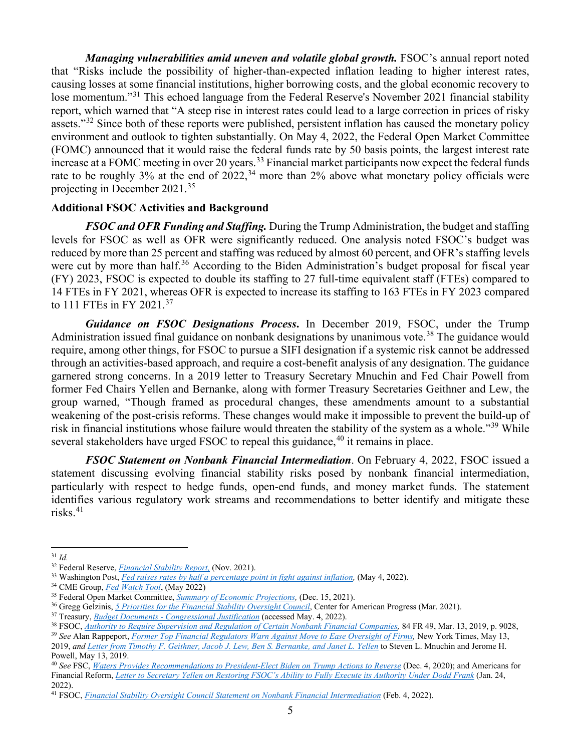*Managing vulnerabilities amid uneven and volatile global growth.* FSOC's annual report noted that "Risks include the possibility of higher-than-expected inflation leading to higher interest rates, causing losses at some financial institutions, higher borrowing costs, and the global economic recovery to lose momentum."<sup>[31](#page-4-0)</sup> This echoed language from the Federal Reserve's November 2021 financial stability report, which warned that "A steep rise in interest rates could lead to a large correction in prices of risky assets."<sup>[32](#page-4-1)</sup> Since both of these reports were published, persistent inflation has caused the monetary policy environment and outlook to tighten substantially. On May 4, 2022, the Federal Open Market Committee (FOMC) announced that it would raise the federal funds rate by 50 basis points, the largest interest rate increase at a FOMC meeting in over 20 years.<sup>[33](#page-4-2)</sup> Financial market participants now expect the federal funds rate to be roughly 3% at the end of  $2022$ ,<sup>[34](#page-4-3)</sup> more than 2% above what monetary policy officials were projecting in December 2021.[35](#page-4-4)

#### **Additional FSOC Activities and Background**

*FSOC and OFR Funding and Staffing.* During the Trump Administration, the budget and staffing levels for FSOC as well as OFR were significantly reduced. One analysis noted FSOC's budget was reduced by more than 25 percent and staffing was reduced by almost 60 percent, and OFR's staffing levels were cut by more than half.<sup>[36](#page-4-5)</sup> According to the Biden Administration's budget proposal for fiscal year (FY) 2023, FSOC is expected to double its staffing to 27 full-time equivalent staff (FTEs) compared to 14 FTEs in FY 2021, whereas OFR is expected to increase its staffing to 163 FTEs in FY 2023 compared to 111 FTEs in FY 2021.[37](#page-4-6)

*Guidance on FSOC Designations Process***.** In December 2019, FSOC, under the Trump Administration issued final guidance on nonbank designations by unanimous vote.<sup>[38](#page-4-7)</sup> The guidance would require, among other things, for FSOC to pursue a SIFI designation if a systemic risk cannot be addressed through an activities-based approach, and require a cost-benefit analysis of any designation. The guidance garnered strong concerns. In a 2019 letter to Treasury Secretary Mnuchin and Fed Chair Powell from former Fed Chairs Yellen and Bernanke, along with former Treasury Secretaries Geithner and Lew, the group warned, "Though framed as procedural changes, these amendments amount to a substantial weakening of the post-crisis reforms. These changes would make it impossible to prevent the build-up of risk in financial institutions whose failure would threaten the stability of the system as a whole."[39](#page-4-8) While several stakeholders have urged FSOC to repeal this guidance,  $40$  it remains in place.

*FSOC Statement on Nonbank Financial Intermediation*. On February 4, 2022, FSOC issued a statement discussing evolving financial stability risks posed by nonbank financial intermediation, particularly with respect to hedge funds, open-end funds, and money market funds. The statement identifies various regulatory work streams and recommendations to better identify and mitigate these  $risks$ .<sup>[41](#page-4-10)</sup>

<span id="page-4-0"></span><sup>31</sup> *Id.*

<span id="page-4-1"></span><sup>32</sup> Federal Reserve, *[Financial Stability Report,](https://www.federalreserve.gov/publications/files/financial-stability-report-20211108.pdf)* (Nov. 2021).

<span id="page-4-2"></span><sup>33</sup> Washington Post, *[Fed raises rates by half a percentage point in fight against inflation,](https://www.washingtonpost.com/us-policy/2022/05/04/fed-rate-hike-inflation-may/)* (May 4, 2022).

<span id="page-4-3"></span><sup>34</sup> CME Group, *Fed Watch Tool*[,](https://www.cmegroup.com/trading/interest-rates/countdown-to-fomc.html) (May 2022) 35 Federal Open Market Committee, *[Summary of Economic Projections,](https://www.federalreserve.gov/monetarypolicy/files/fomcprojtabl20211215.pdf)* (Dec. 15, 2021).

<span id="page-4-5"></span><span id="page-4-4"></span><sup>&</sup>lt;sup>36</sup> Gregg Gelzinis, *[5 Priorities for the Financial Stability Oversight Council](https://www.americanprogress.org/article/5-priorities-financial-stability-oversight-council/)*, Center for American Progress (Mar. 2021).

<span id="page-4-6"></span><sup>37</sup> Treasury, *Budget Documents - [Congressional Justification](https://home.treasury.gov/about/budget-financial-reporting-planning-and-performance/budget-requestannual-performance-plan-and-reports/budget-documents-congressional-justification)* (accessed May. 4, 2022).

<span id="page-4-8"></span><span id="page-4-7"></span><sup>&</sup>lt;sup>38</sup> FSOC, <u>Authority to Require Supervision and Regulation of Certain Nonbank Financial Companies, 84 FR 49, Mar. 13, 2019, p. 9028, <br><sup>39</sup> See Alan Rappeport, *Former Top Financial Regulators Warn Against Move to Ease Ove</u>* 2019, *and [Letter from Timothy F. Geithner, Jacob J. Lew, Ben S. Bernanke, and Janet L. Yellen](https://int.nyt.com/data/documenthelper/887-bernanke-geithner-lew-yellen-letter/a22621b202dfcb0fe06e/optimized/full.pdf)* to Steven L. Mnuchin and Jerome H. Powell, May 13, 2019.

<span id="page-4-9"></span><sup>40</sup> *See* FSC, *[Waters Provides Recommendations to President-Elect Biden on Trump Actions to Reverse](https://financialservices.house.gov/news/documentsingle.aspx?DocumentID=407055)* (Dec. 4, 2020); and Americans for Financial Reform, *[Letter to Secretary Yellen on Restoring FSOC's Ability to Fully Execute its Authority Under Dodd Frank](https://ourfinancialsecurity.org/2022/01/letters-to-regulators-letter-to-secretary-yellen-on-restoring-fsocs-ability-to-fully-execute-its-authority-under-dodd-frank/)* (Jan. 24, 2022).

<span id="page-4-10"></span><sup>41</sup> FSOC, *[Financial Stability Oversight Council Statement on Nonbank Financial Intermediation](https://home.treasury.gov/system/files/261/FSOC_Nonbank_Financial_Intermediation.pdf)* (Feb. 4, 2022).